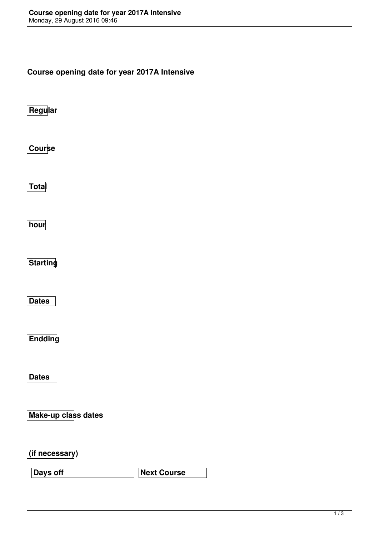**Course opening date for year 2017A Intensive**

**Regular**

**Course**

**Total**

**hour**

**Starting**

**Dates**

**Endding**

**Dates**

**Make-up class dates**

**(if necessary)**

**Days off Next Course**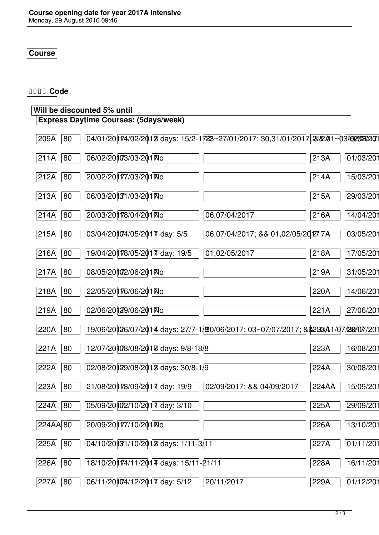## **Course**

## **Code**

## **Will be discounted 5% until**

| <b>Express Daytime Courses: (5days/week)</b>                                                                                                            |       |           |
|---------------------------------------------------------------------------------------------------------------------------------------------------------|-------|-----------|
| $04/01/20$   $74/02/2013$ days: $15/2$ - $\frac{1}{22}$ $\frac{27}{01/2017}$ ; $30,31/01/2017$ $\frac{23}{2017}$ $\frac{23}{20202020207}$<br>209A<br>80 |       |           |
| 06/02/20103/03/201 No<br>211A<br>80                                                                                                                     | 213A  | 01/03/201 |
| 20/02/20177/03/201No<br>212A<br>80                                                                                                                      | 214A  | 15/03/20  |
| 06/03/20131/03/201 No<br>213A<br>80                                                                                                                     | 215A  | 29/03/20  |
| 20/03/20178/04/201 No<br>214A<br>80<br>06,07/04/2017                                                                                                    | 216A  | 14/04/20  |
| 03/04/2010/05/2017 day: 5/5<br>215A<br>80<br>06,07/04/2017; && 01,02/05/20277A                                                                          |       | 03/05/20  |
| 19/04/20178/05/2017 day: 19/5<br>216A<br>80<br>01,02/05/2017                                                                                            | 218A  | 17/05/20  |
| 08/05/2010/06/201 No<br>217A<br>80                                                                                                                      | 219A  | 31/05/20  |
| 22/05/20176/06/201No<br>218A<br>80                                                                                                                      | 220A  | 14/06/201 |
| 02/06/20129/06/201 No<br>80<br>219A                                                                                                                     | 221A  | 27/06/20  |
| 19/06/20126/07/2014 days: 27/7-1/80/06/2017; 03~07/07/2017; \$\$2233A1/07/28/07/201<br>220A<br>80                                                       |       |           |
| 12/07/20108/08/2018 days: 9/8-18/8<br>221A<br>80                                                                                                        | 223A  | 16/08/201 |
| 02/08/20129/08/2013 days: 30/8-1/9<br>80<br>222A                                                                                                        | 224A  | 30/08/20  |
| 21/08/20178/09/2017 day: 19/9<br>223A<br>80<br>02/09/2017; && 04/09/2017                                                                                | 224AA | 15/09/20  |
| 05/09/2010/2017 day: 3/10<br>80<br>224A                                                                                                                 | 225A  | 29/09/201 |
| $224A$ $A80$<br>20/09/20177/10/201No                                                                                                                    | 226A  | 13/10/201 |
| 04/10/20131/10/2013 days: 1/11-8/11<br>80<br>225A                                                                                                       | 227A  | 01/11/201 |
| 18/10/20174/11/2014 days: 15/11-21/11<br>226A<br>80                                                                                                     | 228A  | 16/11/201 |
| 06/11/20104/12/2017 day: 5/12<br>227A<br>80<br>20/11/2017                                                                                               | 229A  | 01/12/201 |
|                                                                                                                                                         |       |           |

٦